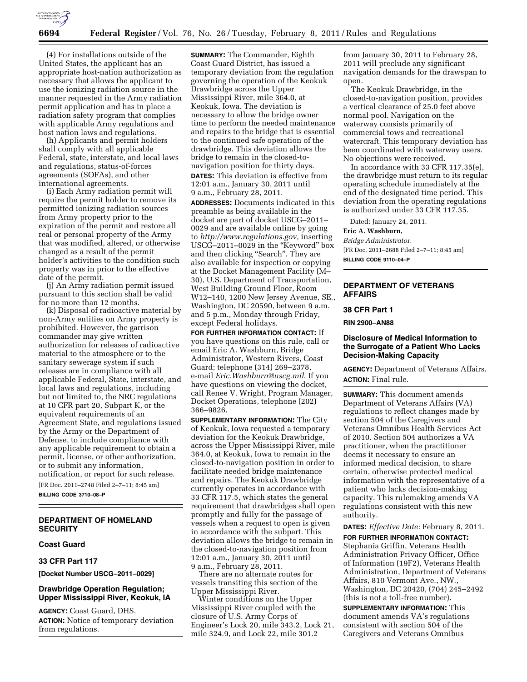

(4) For installations outside of the United States, the applicant has an appropriate host-nation authorization as necessary that allows the applicant to use the ionizing radiation source in the manner requested in the Army radiation permit application and has in place a radiation safety program that complies with applicable Army regulations and host nation laws and regulations.

(h) Applicants and permit holders shall comply with all applicable Federal, state, interstate, and local laws and regulations, status-of-forces agreements (SOFAs), and other international agreements.

(i) Each Army radiation permit will require the permit holder to remove its permitted ionizing radiation sources from Army property prior to the expiration of the permit and restore all real or personal property of the Army that was modified, altered, or otherwise changed as a result of the permit holder's activities to the condition such property was in prior to the effective date of the permit.

(j) An Army radiation permit issued pursuant to this section shall be valid for no more than 12 months.

(k) Disposal of radioactive material by non-Army entities on Army property is prohibited. However, the garrison commander may give written authorization for releases of radioactive material to the atmosphere or to the sanitary sewerage system if such releases are in compliance with all applicable Federal, State, interstate, and local laws and regulations, including but not limited to, the NRC regulations at 10 CFR part 20, Subpart K, or the equivalent requirements of an Agreement State, and regulations issued by the Army or the Department of Defense, to include compliance with any applicable requirement to obtain a permit, license, or other authorization, or to submit any information, notification, or report for such release. [FR Doc. 2011–2748 Filed 2–7–11; 8:45 am]

**BILLING CODE 3710–08–P** 

## **DEPARTMENT OF HOMELAND SECURITY**

### **Coast Guard**

#### **33 CFR Part 117**

**[Docket Number USCG–2011–0029]** 

## **Drawbridge Operation Regulation; Upper Mississippi River, Keokuk, IA**

**AGENCY:** Coast Guard, DHS. **ACTION:** Notice of temporary deviation from regulations.

**SUMMARY:** The Commander, Eighth Coast Guard District, has issued a temporary deviation from the regulation governing the operation of the Keokuk Drawbridge across the Upper Mississippi River, mile 364.0, at Keokuk, Iowa. The deviation is necessary to allow the bridge owner time to perform the needed maintenance and repairs to the bridge that is essential to the continued safe operation of the drawbridge. This deviation allows the bridge to remain in the closed-tonavigation position for thirty days. **DATES:** This deviation is effective from 12:01 a.m., January 30, 2011 until 9 a.m., February 28, 2011.

**ADDRESSES:** Documents indicated in this preamble as being available in the docket are part of docket USCG–2011– 0029 and are available online by going to *[http://www.regulations.gov,](http://www.regulations.gov)* inserting USCG–2011–0029 in the ''Keyword'' box and then clicking "Search". They are also available for inspection or copying at the Docket Management Facility (M– 30), U.S. Department of Transportation, West Building Ground Floor, Room W12–140, 1200 New Jersey Avenue, SE., Washington, DC 20590, between 9 a.m. and 5 p.m., Monday through Friday, except Federal holidays.

**FOR FURTHER INFORMATION CONTACT:** If you have questions on this rule, call or email Eric A. Washburn, Bridge Administrator, Western Rivers, Coast Guard; telephone (314) 269–2378, e-mail *[Eric.Washburn@uscg.mil](mailto:Eric.Washburn@uscg.mil)*. If you have questions on viewing the docket, call Renee V. Wright, Program Manager, Docket Operations, telephone (202) 366–9826.

**SUPPLEMENTARY INFORMATION:** The City of Keokuk, Iowa requested a temporary deviation for the Keokuk Drawbridge, across the Upper Mississippi River, mile 364.0, at Keokuk, Iowa to remain in the closed-to-navigation position in order to facilitate needed bridge maintenance and repairs. The Keokuk Drawbridge currently operates in accordance with 33 CFR 117.5, which states the general requirement that drawbridges shall open promptly and fully for the passage of vessels when a request to open is given in accordance with the subpart. This deviation allows the bridge to remain in the closed-to-navigation position from 12:01 a.m., January 30, 2011 until 9 a.m., February 28, 2011.

There are no alternate routes for vessels transiting this section of the Upper Mississippi River.

Winter conditions on the Upper Mississippi River coupled with the closure of U.S. Army Corps of Engineer's Lock 20, mile 343.2, Lock 21, mile 324.9, and Lock 22, mile 301.2

from January 30, 2011 to February 28, 2011 will preclude any significant navigation demands for the drawspan to open.

The Keokuk Drawbridge, in the closed-to-navigation position, provides a vertical clearance of 25.0 feet above normal pool. Navigation on the waterway consists primarily of commercial tows and recreational watercraft. This temporary deviation has been coordinated with waterway users. No objections were received.

In accordance with 33 CFR 117.35(e), the drawbridge must return to its regular operating schedule immediately at the end of the designated time period. This deviation from the operating regulations is authorized under 33 CFR 117.35.

Dated: January 24, 2011.

# **Eric A. Washburn,**

*Bridge Administrator.*  [FR Doc. 2011–2688 Filed 2–7–11; 8:45 am] **BILLING CODE 9110–04–P** 

## **DEPARTMENT OF VETERANS AFFAIRS**

### **38 CFR Part 1**

**RIN 2900–AN88** 

### **Disclosure of Medical Information to the Surrogate of a Patient Who Lacks Decision-Making Capacity**

**AGENCY:** Department of Veterans Affairs. **ACTION:** Final rule.

**SUMMARY:** This document amends Department of Veterans Affairs (VA) regulations to reflect changes made by section 504 of the Caregivers and Veterans Omnibus Health Services Act of 2010. Section 504 authorizes a VA practitioner, when the practitioner deems it necessary to ensure an informed medical decision, to share certain, otherwise protected medical information with the representative of a patient who lacks decision-making capacity. This rulemaking amends VA regulations consistent with this new authority.

**DATES:** *Effective Date:* February 8, 2011.

**FOR FURTHER INFORMATION CONTACT:**  Stephania Griffin, Veterans Health Administration Privacy Officer, Office of Information (19F2), Veterans Health Administration, Department of Veterans Affairs, 810 Vermont Ave., NW., Washington, DC 20420, (704) 245–2492 (this is not a toll-free number).

**SUPPLEMENTARY INFORMATION:** This document amends VA's regulations consistent with section 504 of the Caregivers and Veterans Omnibus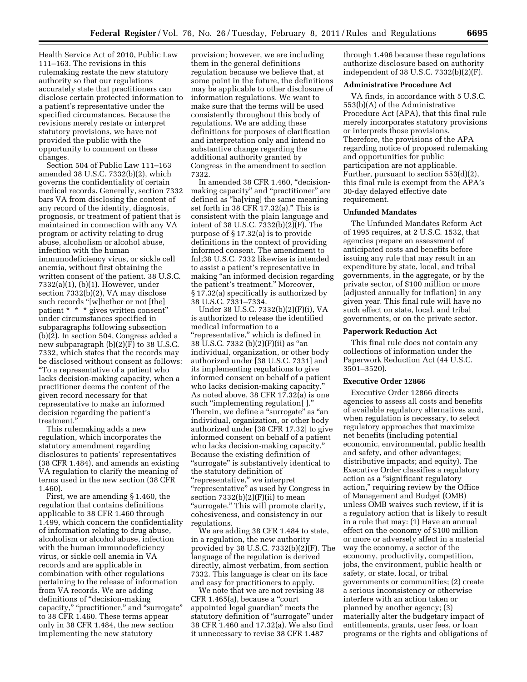Health Service Act of 2010, Public Law 111–163. The revisions in this rulemaking restate the new statutory authority so that our regulations accurately state that practitioners can disclose certain protected information to a patient's representative under the specified circumstances. Because the revisions merely restate or interpret statutory provisions, we have not provided the public with the opportunity to comment on these changes.

Section 504 of Public Law 111–163 amended 38 U.S.C. 7332(b)(2), which governs the confidentiality of certain medical records. Generally, section 7332 bars VA from disclosing the content of any record of the identity, diagnosis, prognosis, or treatment of patient that is maintained in connection with any VA program or activity relating to drug abuse, alcoholism or alcohol abuse, infection with the human immunodeficiency virus, or sickle cell anemia, without first obtaining the written consent of the patient. 38 U.S.C. 7332(a)(1), (b)(1). However, under section 7332(b)(2), VA may disclose such records "[w]hether or not [the] patient \* \* \* gives written consent'' under circumstances specified in subparagraphs following subsection (b)(2). In section 504, Congress added a new subparagraph (b)(2)(F) to 38 U.S.C. 7332, which states that the records may be disclosed without consent as follows: ''To a representative of a patient who lacks decision-making capacity, when a practitioner deems the content of the given record necessary for that representative to make an informed decision regarding the patient's treatment.''

This rulemaking adds a new regulation, which incorporates the statutory amendment regarding disclosures to patients' representatives (38 CFR 1.484), and amends an existing VA regulation to clarify the meaning of terms used in the new section (38 CFR 1.460).

First, we are amending § 1.460, the regulation that contains definitions applicable to 38 CFR 1.460 through 1.499, which concern the confidentiality of information relating to drug abuse, alcoholism or alcohol abuse, infection with the human immunodeficiency virus, or sickle cell anemia in VA records and are applicable in combination with other regulations pertaining to the release of information from VA records. We are adding definitions of "decision-making capacity," "practitioner," and "surrogate" to 38 CFR 1.460. These terms appear only in 38 CFR 1.484, the new section implementing the new statutory

provision; however, we are including them in the general definitions regulation because we believe that, at some point in the future, the definitions may be applicable to other disclosure of information regulations. We want to make sure that the terms will be used consistently throughout this body of regulations. We are adding these definitions for purposes of clarification and interpretation only and intend no substantive change regarding the additional authority granted by Congress in the amendment to section 7332.

In amended 38 CFR 1.460, ''decisionmaking capacity'' and ''practitioner'' are defined as ''ha[ving] the same meaning set forth in 38 CFR 17.32(a)." This is consistent with the plain language and intent of 38 U.S.C. 7332(b)(2)(F). The purpose of § 17.32(a) is to provide definitions in the context of providing informed consent. The amendment to fnl;38 U.S.C. 7332 likewise is intended to assist a patient's representative in making ''an informed decision regarding the patient's treatment.'' Moreover, § 17.32(a) specifically is authorized by 38 U.S.C. 7331–7334.

Under 38 U.S.C. 7332(b)(2)(F)(i), VA is authorized to release the identified medical information to a "representative," which is defined in 38 U.S.C. 7332 (b)(2)(F)(ii) as ''an individual, organization, or other body authorized under [38 U.S.C. 7331] and its implementing regulations to give informed consent on behalf of a patient who lacks decision-making capacity." As noted above, 38 CFR 17.32(a) is one such ''implementing regulation[ ].'' Therein, we define a "surrogate" as "an individual, organization, or other body authorized under [38 CFR 17.32] to give informed consent on behalf of a patient who lacks decision-making capacity." Because the existing definition of "surrogate" is substantively identical to the statutory definition of ''representative,'' we interpret ''representative'' as used by Congress in section  $7332(b)(2)(F)(ii)$  to mean "surrogate." This will promote clarity, cohesiveness, and consistency in our regulations.

We are adding 38 CFR 1.484 to state, in a regulation, the new authority provided by 38 U.S.C. 7332(b)(2)(F). The language of the regulation is derived directly, almost verbatim, from section 7332. This language is clear on its face and easy for practitioners to apply.

We note that we are not revising 38 CFR 1.465(a), because a ''court appointed legal guardian'' meets the statutory definition of "surrogate" under 38 CFR 1.460 and 17.32(a). We also find it unnecessary to revise 38 CFR 1.487

through 1.496 because these regulations authorize disclosure based on authority independent of 38 U.S.C. 7332(b)(2)(F).

#### **Administrative Procedure Act**

VA finds, in accordance with 5 U.S.C. 553(b)(A) of the Administrative Procedure Act (APA), that this final rule merely incorporates statutory provisions or interprets those provisions. Therefore, the provisions of the APA regarding notice of proposed rulemaking and opportunities for public participation are not applicable. Further, pursuant to section 553(d)(2), this final rule is exempt from the APA's 30-day delayed effective date requirement.

#### **Unfunded Mandates**

The Unfunded Mandates Reform Act of 1995 requires, at 2 U.S.C. 1532, that agencies prepare an assessment of anticipated costs and benefits before issuing any rule that may result in an expenditure by state, local, and tribal governments, in the aggregate, or by the private sector, of \$100 million or more (adjusted annually for inflation) in any given year. This final rule will have no such effect on state, local, and tribal governments, or on the private sector.

#### **Paperwork Reduction Act**

This final rule does not contain any collections of information under the Paperwork Reduction Act (44 U.S.C. 3501–3520).

## **Executive Order 12866**

Executive Order 12866 directs agencies to assess all costs and benefits of available regulatory alternatives and, when regulation is necessary, to select regulatory approaches that maximize net benefits (including potential economic, environmental, public health and safety, and other advantages; distributive impacts; and equity). The Executive Order classifies a regulatory action as a ''significant regulatory action,'' requiring review by the Office of Management and Budget (OMB) unless OMB waives such review, if it is a regulatory action that is likely to result in a rule that may: (1) Have an annual effect on the economy of \$100 million or more or adversely affect in a material way the economy, a sector of the economy, productivity, competition, jobs, the environment, public health or safety, or state, local, or tribal governments or communities; (2) create a serious inconsistency or otherwise interfere with an action taken or planned by another agency; (3) materially alter the budgetary impact of entitlements, grants, user fees, or loan programs or the rights and obligations of